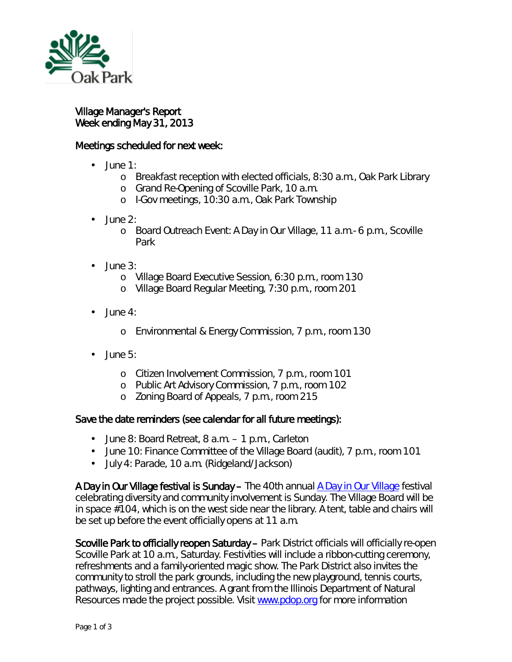

## Village Manager's Report Week ending May 31, 2013

## Meetings scheduled for next week:

- $\overline{a}$ June 1:
	- o Breakfast reception with elected officials, 8:30 a.m., Oak Park Library
	- o Grand Re-Opening of Scoville Park, 10 a.m.
	- <sup>o</sup> I-Gov meetings, 10:30 a.m., Oak Park Township
- June 2:
	- o Board Outreach Event: A Day in Our Village, 11 a.m.- 6 p.m., Scoville Park
- $\cdot$  June 3:
	- o Village Board Executive Session, 6:30 p.m., room 130
	- o Village Board Regular Meeting, 7:30 p.m., room 201
- $-$  June 4:
	- o Environmental & Energy Commission, 7 p.m., room 130
- June 5:
	- o Citizen Involvement Commission, 7 p.m., room 101
	- o Public Art Advisory Commission, 7 p.m., room 102
	- o Zoning Board of Appeals, 7 p.m., room 215

## Save the date reminders (see calendar for all future meetings):

- June 8: Board Retreat, 8 a.m. 1 p.m., Carleton
- June 10: Finance Committee of the Village Board (audit), 7 p.m., room 101
- $\mathbf{r}^{(1)}$ July 4: Parade, 10 a.m. (Ridgeland/Jackson)

A Day in Our Village festival is Sunday – The 40th annual [A Day in Our Village](http://www.oak-park.us/Community/Day_In_Our_Village.html) festival celebrating diversity and community involvement is Sunday. The Village Board will be in space #104, which is on the west side near the library. A tent, table and chairs will be set up before the event officially opens at 11 a.m.

Scoville Park to officially reopen Saturday – Park District officials will officially re-open Scoville Park at 10 a.m., Saturday. Festivities will include a ribbon-cutting ceremony, refreshments and a family-oriented magic show. The Park District also invites the community to stroll the park grounds, including the new playground, tennis courts, pathways, lighting and entrances. A grant from the Illinois Department of Natural Resources made the project possible. Visit [www.pdop.org](http://www.pdop.org/) for more information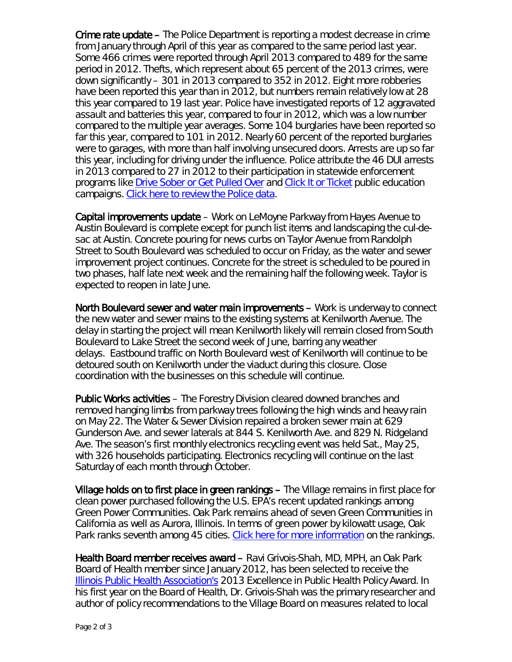Crime rate update – The Police Department is reporting a modest decrease in crime from January through April of this year as compared to the same period last year. Some 466 crimes were reported through April 2013 compared to 489 for the same period in 2012. Thefts, which represent about 65 percent of the 2013 crimes, were down significantly – 301 in 2013 compared to 352 in 2012. Eight more robberies have been reported this year than in 2012, but numbers remain relatively low at 28 this year compared to 19 last year. Police have investigated reports of 12 aggravated assault and batteries this year, compared to four in 2012, which was a low number compared to the multiple year averages. Some 104 burglaries have been reported so far this year, compared to 101 in 2012. Nearly 60 percent of the reported burglaries were to garages, with more than half involving unsecured doors. Arrests are up so far this year, including for driving under the influence. Police attribute the 46 DUI arrests in 2013 compared to 27 in 2012 to their participation in statewide enforcement programs like [Drive Sober or Get Pulled Over](http://www.nhtsa.gov/drivesober/) and [Click It or Ticket](http://www.nhtsa.gov/nhtsa/2012ciot/index.html) public education campaigns. [Click here to review the Police data.](http://www.oak-park.us/456678891/jan-apr%202013%20crime%20report.pdf)

Capital improvements update – Work on LeMoyne Parkway from Hayes Avenue to Austin Boulevard is complete except for punch list items and landscaping the cul-desac at Austin. Concrete pouring for news curbs on Taylor Avenue from Randolph Street to South Boulevard was scheduled to occur on Friday, as the water and sewer improvement project continues. Concrete for the street is scheduled to be poured in two phases, half late next week and the remaining half the following week. Taylor is expected to reopen in late June.

North Boulevard sewer and water main improvements – Work is underway to connect the new water and sewer mains to the existing systems at Kenilworth Avenue. The delay in starting the project will mean Kenilworth likely will remain closed from South Boulevard to Lake Street the second week of June, barring any weather delays. Eastbound traffic on North Boulevard west of Kenilworth will continue to be detoured south on Kenilworth under the viaduct during this closure. Close coordination with the businesses on this schedule will continue.

Public Works activities – The Forestry Division cleared downed branches and removed hanging limbs from parkway trees following the high winds and heavy rain on May 22. The Water & Sewer Division repaired a broken sewer main at 629 Gunderson Ave. and sewer laterals at 844 S. Kenilworth Ave. and 829 N. Ridgeland Ave. The season's first monthly electronics recycling event was held Sat., May 25, with 326 households participating. Electronics recycling will continue on the last Saturday of each month through October.

Village holds on to first place in green rankings – The Village remains in first place for clean power purchased following the U.S. EPA's recent updated rankings among Green Power Communities. Oak Park remains ahead of seven Green Communities in California as well as Aurora, Illinois. In terms of green power by kilowatt usage, Oak Park ranks seventh among 45 cities. [Click here for more information](http://www.epa.gov/greenpower/communities/gpcrankings.htm) on the rankings.

Health Board member receives award – Ravi Grivois-Shah, MD, MPH, an Oak Park Board of Health member since January 2012, has been selected to receive the [Illinois Public Health Association's](http://ipha.com/) 2013 Excellence in Public Health Policy Award. In his first year on the Board of Health, Dr. Grivois-Shah was the primary researcher and author of policy recommendations to the Village Board on measures related to local